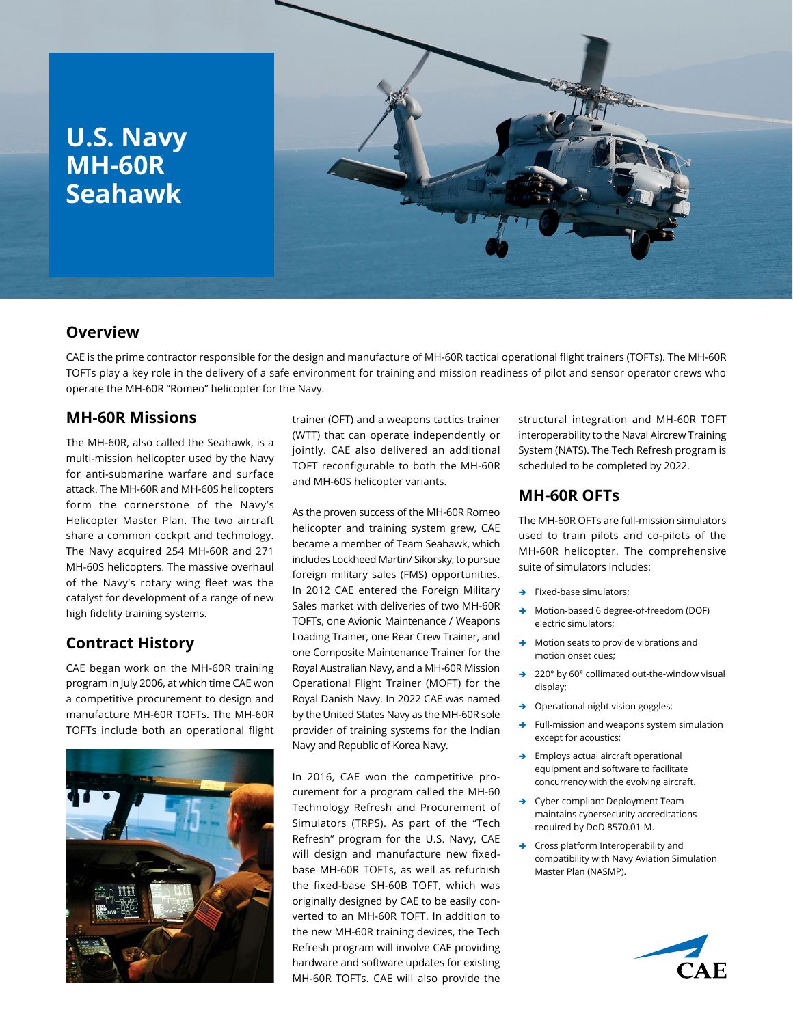# **U.S. Navy MH-60R Seahawk**



#### **Overview**

CAE is the prime contractor responsible for the design and manufacture of MH-60R tactical operational flight trainers (TOFTs). The MH-60R TOFTs play a key role in the delivery of a safe environment for training and mission readiness of pilot and sensor operator crews who operate the MH-60R "Romeo" helicopter for the Navy.

#### **MH-60R Missions**

The MH-60R, also called the Seahawk, is a multi-mission helicopter used by the Navy for anti-submarine warfare and surface attack. The MH-60R and MH-60S helicopters form the cornerstone of the Navy's Helicopter Master Plan. The two aircraft share a common cockpit and technology. The Navy acquired 254 MH-60R and 271 MH-60S helicopters. The massive overhaul of the Navy's rotary wing fleet was the catalyst for development of a range of new high fidelity training systems.

### **Contract History**

CAE began work on the MH-60R training program in July 2006, at which time CAE won a competitive procurement to design and manufacture MH-60R TOFTs. The MH-60R TOFTs include both an operational flight



trainer (OFT) and a weapons tactics trainer (WTT) that can operate independently or jointly. CAE also delivered an additional TOFT reconfigurable to both the MH-60R and MH-60S helicopter variants.

As the proven success of the MH-60R Romeo helicopter and training system grew, CAE became a member of Team Seahawk, which includes Lockheed Martin/ Sikorsky, to pursue foreign military sales (FMS) opportunities. In 2012 CAE entered the Foreign Military Sales market with deliveries of two MH-60R TOFTs, one Avionic Maintenance / Weapons Loading Trainer, one Rear Crew Trainer, and one Composite Maintenance Trainer for the Royal Australian Navy, and a MH-60R Mission Operational Flight Trainer (MOFT) for the Royal Danish Navy. In 2022 CAE was named by the United States Navy as the MH-60R sole provider of training systems for the Indian Navy and Republic of Korea Navy.

In 2016, CAE won the competitive procurement for a program called the MH-60 Technology Refresh and Procurement of Simulators (TRPS). As part of the "Tech Refresh" program for the U.S. Navy, CAE will design and manufacture new fixedbase MH-60R TOFTs, as well as refurbish the fixed-base SH-60B TOFT, which was originally designed by CAE to be easily converted to an MH-60R TOFT. In addition to the new MH-60R training devices, the Tech Refresh program will involve CAE providing hardware and software updates for existing MH-60R TOFTs. CAE will also provide the

structural integration and MH-60R TOFT interoperability to the Naval Aircrew Training System (NATS). The Tech Refresh program is scheduled to be completed by 2022.

#### **MH-60R OFTs**

The MH-60R OFTs are full-mission simulators used to train pilots and co-pilots of the MH-60R helicopter. The comprehensive suite of simulators includes:

- $\rightarrow$  Fixed-base simulators;
- $\rightarrow$  Motion-based 6 degree-of-freedom (DOF) electric simulators;
- $\rightarrow$  Motion seats to provide vibrations and motion onset cues;
- $\rightarrow$  220° by 60° collimated out-the-window visual display;
- $\rightarrow$  Operational night vision goggles;
- $\rightarrow$  Full-mission and weapons system simulation except for acoustics;
- $\rightarrow$  Employs actual aircraft operational equipment and software to facilitate concurrency with the evolving aircraft.
- $\rightarrow$  Cyber compliant Deployment Team maintains cybersecurity accreditations required by DoD 8570.01-M.
- $\rightarrow$  Cross platform Interoperability and compatibility with Navy Aviation Simulation Master Plan (NASMP).